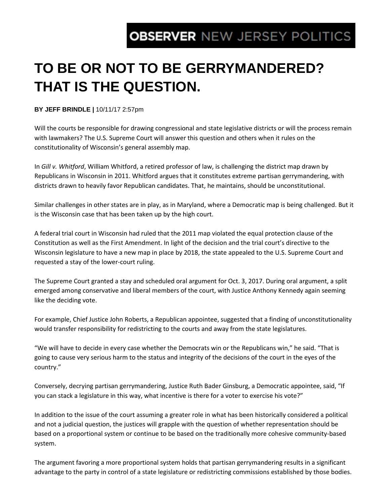## **OBSERVER NEW JERSEY POLITICS**

## **TO BE OR NOT TO BE GERRYMANDERED? THAT IS THE QUESTION.**

## **BY JEFF BRINDLE |** 10/11/17 2:57pm

Will the courts be responsible for drawing congressional and state legislative districts or will the process remain with lawmakers? The U.S. Supreme Court will answer this question and others when it rules on the constitutionality of Wisconsin's general assembly map.

In *Gill v. Whitford*, William Whitford, a retired professor of law, is challenging the district map drawn by Republicans in Wisconsin in 2011. Whitford argues that it constitutes extreme partisan gerrymandering, with districts drawn to heavily favor Republican candidates. That, he maintains, should be unconstitutional.

Similar challenges in other states are in play, as in Maryland, where a Democratic map is being challenged. But it is the Wisconsin case that has been taken up by the high court.

A federal trial court in Wisconsin had ruled that the 2011 map violated the equal protection clause of the Constitution as well as the First Amendment. In light of the decision and the trial court's directive to the Wisconsin legislature to have a new map in place by 2018, the state appealed to the U.S. Supreme Court and requested a stay of the lower-court ruling.

The Supreme Court granted a stay and scheduled oral argument for Oct. 3, 2017. During oral argument, a split emerged among conservative and liberal members of the court, with Justice Anthony Kennedy again seeming like the deciding vote.

For example, Chief Justice John Roberts, a Republican appointee, suggested that a finding of unconstitutionality would transfer responsibility for redistricting to the courts and away from the state legislatures.

"We will have to decide in every case whether the Democrats win or the Republicans win," he said. "That is going to cause very serious harm to the status and integrity of the decisions of the court in the eyes of the country."

Conversely, decrying partisan gerrymandering, Justice Ruth Bader Ginsburg, a Democratic appointee, said, "If you can stack a legislature in this way, what incentive is there for a voter to exercise his vote?"

In addition to the issue of the court assuming a greater role in what has been historically considered a political and not a judicial question, the justices will grapple with the question of whether representation should be based on a proportional system or continue to be based on the traditionally more cohesive community-based system.

The argument favoring a more proportional system holds that partisan gerrymandering results in a significant advantage to the party in control of a state legislature or redistricting commissions established by those bodies.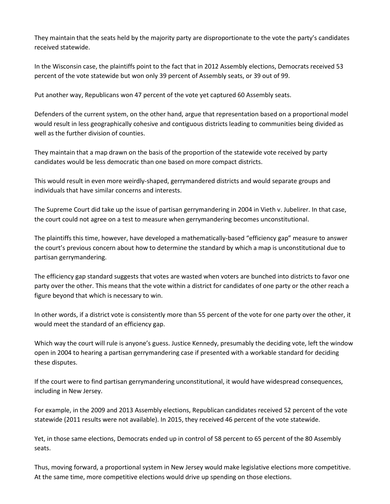They maintain that the seats held by the majority party are disproportionate to the vote the party's candidates received statewide.

In the Wisconsin case, the plaintiffs point to the fact that in 2012 Assembly elections, Democrats received 53 percent of the vote statewide but won only 39 percent of Assembly seats, or 39 out of 99.

Put another way, Republicans won 47 percent of the vote yet captured 60 Assembly seats.

Defenders of the current system, on the other hand, argue that representation based on a proportional model would result in less geographically cohesive and contiguous districts leading to communities being divided as well as the further division of counties.

They maintain that a map drawn on the basis of the proportion of the statewide vote received by party candidates would be less democratic than one based on more compact districts.

This would result in even more weirdly-shaped, gerrymandered districts and would separate groups and individuals that have similar concerns and interests.

The Supreme Court did take up the issue of partisan gerrymandering in 2004 in Vieth v. Jubelirer. In that case, the court could not agree on a test to measure when gerrymandering becomes unconstitutional.

The plaintiffs this time, however, have developed a mathematically-based "efficiency gap" measure to answer the court's previous concern about how to determine the standard by which a map is unconstitutional due to partisan gerrymandering.

The efficiency gap standard suggests that votes are wasted when voters are bunched into districts to favor one party over the other. This means that the vote within a district for candidates of one party or the other reach a figure beyond that which is necessary to win.

In other words, if a district vote is consistently more than 55 percent of the vote for one party over the other, it would meet the standard of an efficiency gap.

Which way the court will rule is anyone's guess. Justice Kennedy, presumably the deciding vote, left the window open in 2004 to hearing a partisan gerrymandering case if presented with a workable standard for deciding these disputes.

If the court were to find partisan gerrymandering unconstitutional, it would have widespread consequences, including in New Jersey.

For example, in the 2009 and 2013 Assembly elections, Republican candidates received 52 percent of the vote statewide (2011 results were not available). In 2015, they received 46 percent of the vote statewide.

Yet, in those same elections, Democrats ended up in control of 58 percent to 65 percent of the 80 Assembly seats.

Thus, moving forward, a proportional system in New Jersey would make legislative elections more competitive. At the same time, more competitive elections would drive up spending on those elections.